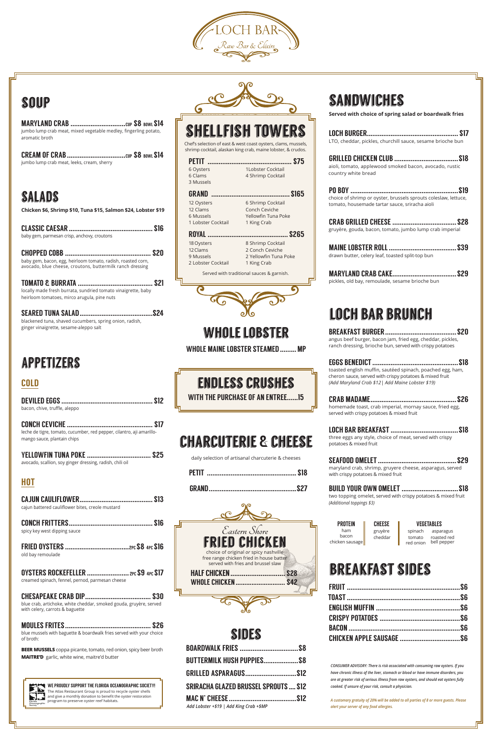## whole lobster

WHOLE MAINE LOBSTER STEAMED......... MP

## endless crushes

WITH THE PURCHASE OF AN ENTREE......15

# charcuterie & cheese

daily selection of artisanal charcuterie & cheeses

| GRAI |  |
|------|--|

| SIIDES                                       |  |
|----------------------------------------------|--|
|                                              |  |
| BUTTERMILK HUSH PUPPIES \$8                  |  |
|                                              |  |
| <b>SRIRACHA GLAZED BRUSSEL SPROUTS  \$12</b> |  |
|                                              |  |
| Add Lobster +\$19   Add King Crab +\$MP      |  |

# sandwiches

**Served with choice of spring salad or boardwalk fries**

| LTO, cheddar, pickles, churchill sauce, sesame brioche bun                                                        |  |
|-------------------------------------------------------------------------------------------------------------------|--|
| aioli, tomato, applewood smoked bacon, avocado, rustic<br>country white bread                                     |  |
| choice of shrimp or oyster, brussels sprouts coleslaw, lettuce,<br>tomato, housemade tartar sauce, sriracha aioli |  |
| <b>S28</b><br>gruyère, gouda, bacon, tomato, jumbo lump crab imperial                                             |  |
| drawn butter, celery leaf, toasted split-top bun                                                                  |  |
| <b>S29</b><br>pickles, old bay, remoulade, sesame brioche bun                                                     |  |
| الله الالتاليها والمتارين                                                                                         |  |

loch bar brunch BREAKFAST BURGER.......................................\$20

angus beef burger, bacon jam, fried egg, cheddar, pickles, ranch dressing, brioche bun, served with crispy potatoes

| toasted english muffin, sautéed spinach, poached egg, ham, |
|------------------------------------------------------------|
| cheron sauce, served with crispy potatoes & mixed fruit    |
| (Add Maryland Crab \$12) Add Maine Lobster \$19)           |
|                                                            |

CRAB MADAME...............................................\$26 homemade toast, crab imperial, mornay sauce, fried egg, served with crispy potatoes & mixed fruit

LOCH BAR BREAKFAST .....................................\$18 three eggs any style, choice of meat, served with crispy potatoes & mixed fruit



| maryland crab, shrimp, gruyere cheese, asparagus, served<br>with crispy potatoes & mixed fruit |  |
|------------------------------------------------------------------------------------------------|--|

| <b>BUILD YOUR OWN OMELET  \$18</b>                            |  |
|---------------------------------------------------------------|--|
| two topping omelet, served with crispy potatoes & mixed fruit |  |
| (Additional toppings \$3)                                     |  |

| <b>PRNTFIN</b>  | <b>LHFFSF</b> |   |
|-----------------|---------------|---|
| ham             | gruyère       | S |
| bacon           | cheddar       |   |
| chicken sausage |               | ρ |

VEGETABLES spinach asparagus omato red onion bell pepper roasted red

## breakfast sides

OYSTERS ROCKEFELLER ......................... 2PC \$9 4PC \$17 creamed spinach, fennel, pernod, parmesan cheese

|                                                           | <b>SHELLFISH TOWERS</b>                                                                                                        |  |
|-----------------------------------------------------------|--------------------------------------------------------------------------------------------------------------------------------|--|
|                                                           | Chef's selection of east & west coast oysters, clams, mussels,<br>shrimp cocktail, alaskan king crab, maine lobster, & crudos. |  |
| <b>PETIT</b><br>6 Oysters<br>6 Clams<br>3 Mussels         | S75<br>1 Lobster Cocktail<br>4 Shrimp Cocktail                                                                                 |  |
| GRAND                                                     | <b>S165</b>                                                                                                                    |  |
| 12 Oysters<br>12 Clams<br>6 Mussels<br>1 Lobster Cocktail | 6 Shrimp Cocktail<br>Conch Ceviche<br>Yellowfin Tuna Poke<br>1 King Crab                                                       |  |
|                                                           |                                                                                                                                |  |

#### ROYAL ............................................ \$265 18 Oysters 12 Clams 9 Mussels 2 Lobster Cocktail

8 Shrimp Cocktail 2 Conch Ceviche 2 Yellowfin Tuna Poke 1 King Crab

Served with traditional sauces & garnish.



*CONSUMER ADVISORY: There is risk associated with consuming raw oysters. If you have chronic illness of the liver, stomach or blood or have immune disorders, you are at greater risk of serious illness from raw oysters, and should eat oysters fully cooked. If unsure of your risk, consult a physician.*

*A customary gratuity of 20% will be added to all parties of 8 or more guests. Please alert your server of any food allergies.*



#### soup

MARYLAND CRAB ..............................cup \$8 bowl \$14 jumbo lump crab meat, mixed vegetable medley, fingerling potato, aromatic broth

CREAM OF CRAB................................cup \$8 bowl \$14 jumbo lump crab meat, leeks, cream, sherry

## **SALADS**

**Chicken \$6, Shrimp \$10, Tuna \$15, Salmon \$24, Lobster \$19**

| baby gem, parmesan crisp, anchovy, croutons |  |
|---------------------------------------------|--|

CHOPPED COBB ............................................... \$20 baby gem, bacon, egg, heirloom tomato, radish, roasted corn, avocado, blue cheese, croutons, buttermilk ranch dressing

TOMATO & BURRATA ......................................... \$21 locally made fresh burrata, sundried tomato vinaigrette, baby heirloom tomatoes, mirco arugula, pine nuts

SEARED TUNA SALAD........................................\$24 blackened tuna, shaved cucumbers, spring onion, radish, ginger vinaigrette, sesame-aleppo salt

# appetizers

#### COLD

| bacon, chive, truffle, aleppo |  |
|-------------------------------|--|

CONCH CEVICHE............................................... \$17 leche de tigre, tomato, cucumber, red pepper, cilantro, aji amarillomango sauce, plantain chips

| avocado, scallion, soy ginger dressing, radish, chili oil |  |
|-----------------------------------------------------------|--|

#### HOT

CAJUN CAULIFLOWER........................................ \$13

cajun battered cauliflower bites, creole mustard



CONCH FRITTERS.............................................. \$16 spicy key west dipping sauce

FRIED OYSTERS ...................................2pc\$8 4pc \$16 old bay remoulade

CHESAPEAKE CRAB DIP.................................... \$30 blue crab, artichoke, white cheddar, smoked gouda, gruyère, served

with celery, carrots & baguette

MOULES FRITES............................................... \$26 blue mussels with baguette & boardwalk fries served with your choice of broth:

**BEER MUSSELS** coppa picante, tomato, red onion, spicy beer broth **MAITRE'D** garlic, white wine, maitre'd butter



WE PROUDLY SUPPORT THE FLORIDA OCEANOGRAPHIC SOCIETY! The Atlas Restaurant Group is proud to recycle oyster shells and give a monthly donation to benefit the oyster restoration program to preserve oyster reef habitats.